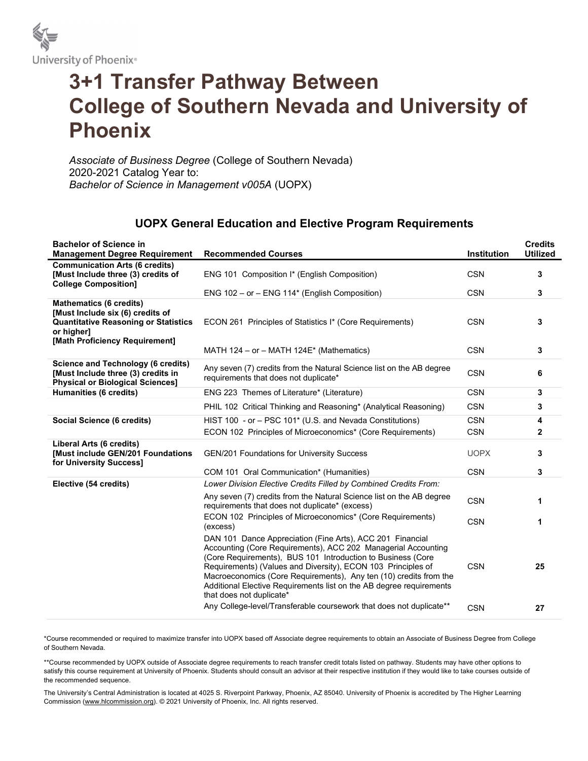

## 3+1 Transfer Pathway Between College of Southern Nevada and University of Phoenix

Associate of Business Degree (College of Southern Nevada) 2020-2021 Catalog Year to: Bachelor of Science in Management v005A (UOPX)

## UOPX General Education and Elective Program Requirements

| <b>Bachelor of Science in</b><br><b>Management Degree Requirement</b>                                                                                             | <b>Recommended Courses</b>                                                                                                                                                                                                                                                                                                                                                                                                        | Institution | <b>Credits</b><br><b>Utilized</b> |
|-------------------------------------------------------------------------------------------------------------------------------------------------------------------|-----------------------------------------------------------------------------------------------------------------------------------------------------------------------------------------------------------------------------------------------------------------------------------------------------------------------------------------------------------------------------------------------------------------------------------|-------------|-----------------------------------|
| <b>Communication Arts (6 credits)</b><br>[Must Include three (3) credits of<br><b>College Composition1</b>                                                        | ENG 101 Composition I* (English Composition)                                                                                                                                                                                                                                                                                                                                                                                      | <b>CSN</b>  | 3                                 |
|                                                                                                                                                                   | ENG 102 - or - ENG 114* (English Composition)                                                                                                                                                                                                                                                                                                                                                                                     | <b>CSN</b>  | 3                                 |
| <b>Mathematics (6 credits)</b><br>[Must Include six (6) credits of<br><b>Quantitative Reasoning or Statistics</b><br>or higher]<br>[Math Proficiency Requirement] | ECON 261 Principles of Statistics I* (Core Requirements)                                                                                                                                                                                                                                                                                                                                                                          | <b>CSN</b>  | 3                                 |
|                                                                                                                                                                   | MATH 124 – or – MATH 124 $E^*$ (Mathematics)                                                                                                                                                                                                                                                                                                                                                                                      | <b>CSN</b>  | 3                                 |
| <b>Science and Technology (6 credits)</b><br>[Must Include three (3) credits in<br><b>Physical or Biological Sciences]</b>                                        | Any seven (7) credits from the Natural Science list on the AB degree<br>requirements that does not duplicate*                                                                                                                                                                                                                                                                                                                     | <b>CSN</b>  | 6                                 |
| Humanities (6 credits)                                                                                                                                            | ENG 223 Themes of Literature* (Literature)                                                                                                                                                                                                                                                                                                                                                                                        | <b>CSN</b>  | 3                                 |
|                                                                                                                                                                   | PHIL 102 Critical Thinking and Reasoning* (Analytical Reasoning)                                                                                                                                                                                                                                                                                                                                                                  | <b>CSN</b>  | 3                                 |
| Social Science (6 credits)                                                                                                                                        | HIST 100 - or - PSC 101* (U.S. and Nevada Constitutions)                                                                                                                                                                                                                                                                                                                                                                          | <b>CSN</b>  | 4                                 |
|                                                                                                                                                                   | ECON 102 Principles of Microeconomics* (Core Requirements)                                                                                                                                                                                                                                                                                                                                                                        | <b>CSN</b>  | $\mathbf{2}$                      |
| Liberal Arts (6 credits)<br>[Must include GEN/201 Foundations<br>for University Success]                                                                          | <b>GEN/201 Foundations for University Success</b>                                                                                                                                                                                                                                                                                                                                                                                 | <b>UOPX</b> | 3                                 |
|                                                                                                                                                                   | COM 101 Oral Communication* (Humanities)                                                                                                                                                                                                                                                                                                                                                                                          | <b>CSN</b>  | 3                                 |
| Elective (54 credits)                                                                                                                                             | Lower Division Elective Credits Filled by Combined Credits From:                                                                                                                                                                                                                                                                                                                                                                  |             |                                   |
|                                                                                                                                                                   | Any seven (7) credits from the Natural Science list on the AB degree<br>requirements that does not duplicate* (excess)                                                                                                                                                                                                                                                                                                            | <b>CSN</b>  | 1                                 |
|                                                                                                                                                                   | ECON 102 Principles of Microeconomics* (Core Requirements)<br>(excess)                                                                                                                                                                                                                                                                                                                                                            | <b>CSN</b>  | 1                                 |
|                                                                                                                                                                   | DAN 101 Dance Appreciation (Fine Arts), ACC 201 Financial<br>Accounting (Core Requirements), ACC 202 Managerial Accounting<br>(Core Requirements), BUS 101 Introduction to Business (Core<br>Requirements) (Values and Diversity), ECON 103 Principles of<br>Macroeconomics (Core Requirements), Any ten (10) credits from the<br>Additional Elective Requirements list on the AB degree requirements<br>that does not duplicate* | <b>CSN</b>  | 25                                |
|                                                                                                                                                                   | Any College-level/Transferable coursework that does not duplicate**                                                                                                                                                                                                                                                                                                                                                               | <b>CSN</b>  | 27                                |

\*Course recommended or required to maximize transfer into UOPX based off Associate degree requirements to obtain an Associate of Business Degree from College of Southern Nevada.

\*\*Course recommended by UOPX outside of Associate degree requirements to reach transfer credit totals listed on pathway. Students may have other options to satisfy this course requirement at University of Phoenix. Students should consult an advisor at their respective institution if they would like to take courses outside of the recommended sequence.

The University's Central Administration is located at 4025 S. Riverpoint Parkway, Phoenix, AZ 85040. University of Phoenix is accredited by The Higher Learning Commission (www.hlcommission.org). © 2021 University of Phoenix, Inc. All rights reserved.